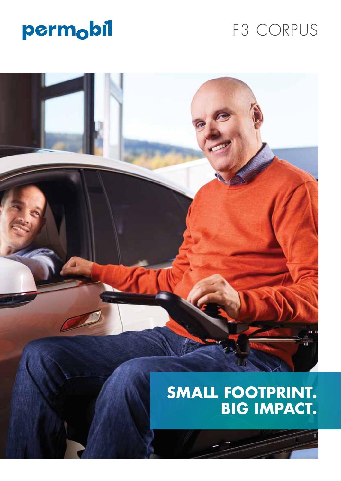

# F3 CORPUS

# **SMALL FOOTPRINT. BIG IMPACT.**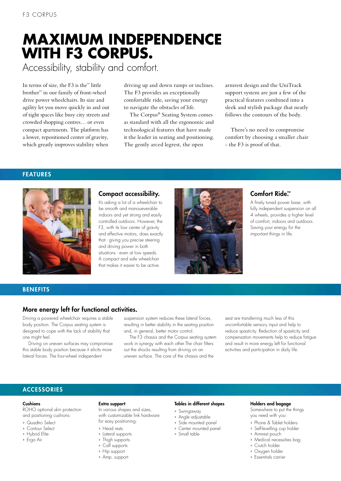# **MAXIMUM INDEPENDENCE WITH F3 CORPUS.** Accessibility, stability and comfort.

In terms of size, the F3 is the" little brother" in our family of front-wheel drive power wheelchairs. Its size and agility let you move quickly in and out of tight spaces like busy city streets and crowded shopping centres… or even compact apartments. The platform has a lower, repositioned center of gravity, which greatly improves stability when

driving up and down ramps or inclines. The F3 provides an exceptionally comfortable ride, saving your energy to navigate the obstacles of life.

The Corpus® Seating System comes as standard with all the ergonomic and technological features that have made it the leader in seating and positioning. The gently arced legrest, the open

armrest design and the UniTrack support system are just a few of the practical features combined into a sleek and stylish package that neatly follows the contours of the body.

There's no need to compromise comfort by choosing a smaller chair - the F3 is proof of that.

# FEATURES



## Compact accessibility.

It's asking a lot of a wheelchair to be smooth and manoueverable indoors and yet strong and easily controlled outdoors. However, the F3, with its low center of gravity and effective motors, does exactly that - giving you precise steering and driving power in both situations - even at low speeds. A compact and safe wheelchair that makes it easier to be active.



# Comfort Ride<sup>™</sup>

A finely tuned power base, with fully independent suspension on all 4 wheels, provides a higher level of comfort, indoors and outdoors. Saving your energy for the important things in life.

## **BENEFITS**

# More energy left for functional activities.

Driving a powered wheelchair requires a stable body position. The Corpus seating system is designed to cope with the lack of stability that one might feel.

Driving on uneven surfaces may compromise this stable body position because it elicits more lateral forces. The four-wheel independent

suspension system reduces these lateral forces, resulting in better stability in the seating position and, in general, better motor control.

The F3 chassis and the Corpus seating system work in synergy with each other.The chair filters out the shocks resulting from driving on an uneven surface. The core of the chassis and the

seat are transferring much less of this uncomfortable sensory input and help to reduce spasticity. Reduction of spasticity and compensation movements help to reduce fatigue and result in more energy left for functional activities and participation in daily life.

## **ACCESSORIES**

#### Cushions

ROHO optional skin protection and positioning cushions:

- » Quadtro Select
- » Contour Select
- » Hybrid Elite
- » Ergo Air

# Extra support

In various shapes and sizes, with customizable link hardware for easy positioning:

- 
- 
- 
- 
- 
- » Amp. support

#### Tables in different shapes

- » Swingaway
- » Angle adjustable
- » Side mounted panel
- » Center mounted panel
- » Small table
- » Medical necessities bag

Holders and bagage Somewhere to put the things you need with you: » Phone & Tablet holders » Self-levelling cup holder » Armrest pouch

- » Crutch holder
- » Oxygen holder
- » Essentials carrier
- » Head rests
- » Lateral supports
- » Thigh supports
- » Calf supports
- » Hip support
-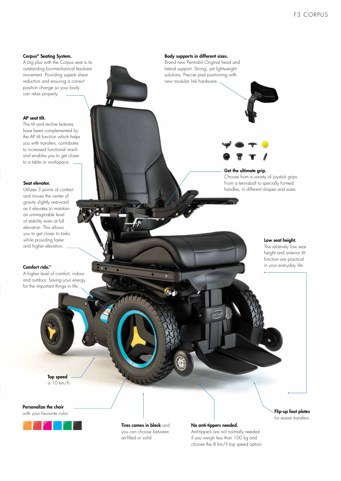#### Corpus® Seating System.

A big plus with the Corpus seat is its outstanding bio-mechanical backrest movement. Providing superb shear reduction and ensuring a correct position change so your body can relax properly.

#### AP seat tilt.

The tilt and recline features have been complemented by the AP tilt function which helps you with transfers, contributes to increased functional reach and enables you to get closer to a table or workspace.

#### Seat elevator.

Utilizes 3 points of contact and moves the center of gravity slightly rearward as it elevates to maintain an unimaginable level of stability even at full elevation. This allows you to get closer to tasks while providing faster and higher elevation.

#### Comfort ride.™

A higher level of comfort, indoor and outdoor. Saving your energy for the important things in life.



Body supports in different sizes.

Brand new Permobil Original head and lateral support. Strong, yet lightweight solutions. Precise pad positioning with new modular link hardware.



#### Get the ultimate grip.

Choose from a variety of joystick grips. From a tennisball to specially formed handles, in different shapes and sizes.

#### Low seat height.

The relatively low seat height and anterior tilt function are practical in your everyday life.

Top speed is 10 km/h.

Personalize the chair

with your favourite color.



Tires comes in black and you can choose between air-filled or solid.

#### No anti-tippers needed.

Anti-tippers are not normally needed if you weigh less than 100 kg and choose the 8 km/h top speed option. Flip-up foot plates for easier transfers.